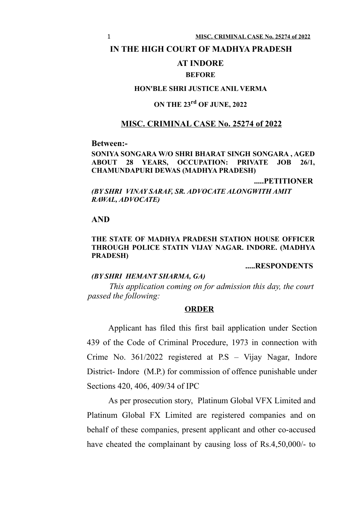#### **IN THE HIGH COURT OF MADHYA PRADESH**

## **AT INDORE**

## **BEFORE**

## **HON'BLE SHRI JUSTICE ANIL VERMA**

# **ON THE 23rd OF JUNE, 2022**

## **MISC. CRIMINAL CASE No. 25274 of 2022**

#### **Between:-**

#### **SONIYA SONGARA W/O SHRI BHARAT SINGH SONGARA , AGED ABOUT 28 YEARS, OCCUPATION: PRIVATE JOB 26/1, CHAMUNDAPURI DEWAS (MADHYA PRADESH)**

**.....PETITIONER**

*(BY SHRI VINAY SARAF, SR. ADVOCATE ALONGWITH AMIT RAWAL, ADVOCATE)*

## **AND**

#### **THE STATE OF MADHYA PRADESH STATION HOUSE OFFICER THROUGH POLICE STATIN VIJAY NAGAR. INDORE. (MADHYA PRADESH)**

## **.....RESPONDENTS**

#### *(BY SHRI HEMANT SHARMA, GA)*

*This application coming on for admission this day, the court passed the following:*

#### **ORDER**

Applicant has filed this first bail application under Section 439 of the Code of Criminal Procedure, 1973 in connection with Crime No. 361/2022 registered at P.S – Vijay Nagar, Indore District- Indore (M.P.) for commission of offence punishable under Sections 420, 406, 409/34 of IPC

As per prosecution story, Platinum Global VFX Limited and Platinum Global FX Limited are registered companies and on behalf of these companies, present applicant and other co-accused have cheated the complainant by causing loss of Rs.4,50,000/- to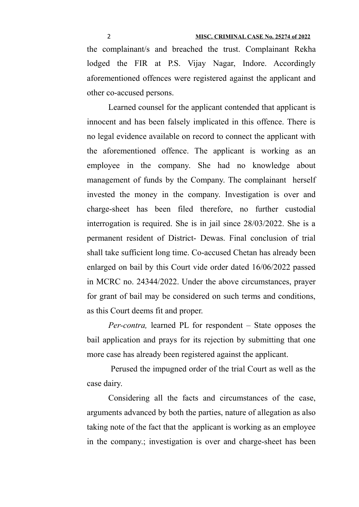the complainant/s and breached the trust. Complainant Rekha lodged the FIR at P.S. Vijay Nagar, Indore. Accordingly aforementioned offences were registered against the applicant and other co-accused persons.

Learned counsel for the applicant contended that applicant is innocent and has been falsely implicated in this offence. There is no legal evidence available on record to connect the applicant with the aforementioned offence. The applicant is working as an employee in the company. She had no knowledge about management of funds by the Company. The complainant herself invested the money in the company. Investigation is over and charge-sheet has been filed therefore, no further custodial interrogation is required. She is in jail since 28/03/2022. She is a permanent resident of District- Dewas. Final conclusion of trial shall take sufficient long time. Co-accused Chetan has already been enlarged on bail by this Court vide order dated 16/06/2022 passed in MCRC no. 24344/2022. Under the above circumstances, prayer for grant of bail may be considered on such terms and conditions, as this Court deems fit and proper.

*Per-contra,* learned PL for respondent – State opposes the bail application and prays for its rejection by submitting that one more case has already been registered against the applicant.

 Perused the impugned order of the trial Court as well as the case dairy.

Considering all the facts and circumstances of the case, arguments advanced by both the parties, nature of allegation as also taking note of the fact that the applicant is working as an employee in the company.; investigation is over and charge-sheet has been